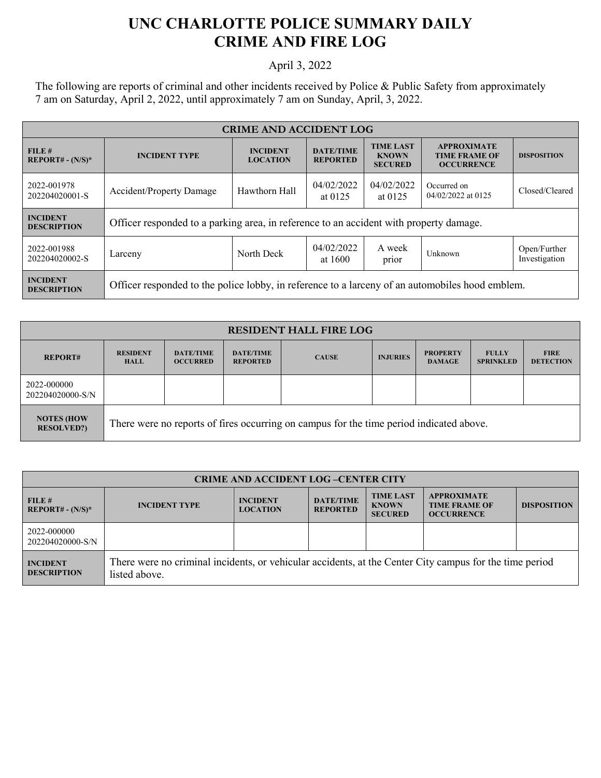## **UNC CHARLOTTE POLICE SUMMARY DAILY CRIME AND FIRE LOG**

## April 3, 2022

The following are reports of criminal and other incidents received by Police & Public Safety from approximately 7 am on Saturday, April 2, 2022, until approximately 7 am on Sunday, April, 3, 2022.

| <b>CRIME AND ACCIDENT LOG</b>         |                                                                                                 |                                    |                                     |                                                    |                                                                 |                               |  |
|---------------------------------------|-------------------------------------------------------------------------------------------------|------------------------------------|-------------------------------------|----------------------------------------------------|-----------------------------------------------------------------|-------------------------------|--|
| FILE#<br>$REPORT# - (N/S)*$           | <b>INCIDENT TYPE</b>                                                                            | <b>INCIDENT</b><br><b>LOCATION</b> | <b>DATE/TIME</b><br><b>REPORTED</b> | <b>TIME LAST</b><br><b>KNOWN</b><br><b>SECURED</b> | <b>APPROXIMATE</b><br><b>TIME FRAME OF</b><br><b>OCCURRENCE</b> | <b>DISPOSITION</b>            |  |
| 2022-001978<br>202204020001-S         | <b>Accident/Property Damage</b>                                                                 | Hawthorn Hall                      | 04/02/2022<br>at $0125$             | 04/02/2022<br>at $0125$                            | Occurred on<br>04/02/2022 at 0125                               | Closed/Cleared                |  |
| <b>INCIDENT</b><br><b>DESCRIPTION</b> | Officer responded to a parking area, in reference to an accident with property damage.          |                                    |                                     |                                                    |                                                                 |                               |  |
| 2022-001988<br>202204020002-S         | Larceny                                                                                         | North Deck                         | 04/02/2022<br>at 1600               | A week<br>prior                                    | Unknown                                                         | Open/Further<br>Investigation |  |
| <b>INCIDENT</b><br><b>DESCRIPTION</b> | Officer responded to the police lobby, in reference to a larceny of an automobiles hood emblem. |                                    |                                     |                                                    |                                                                 |                               |  |

| <b>RESIDENT HALL FIRE LOG</b>          |                                                                                         |                                     |                                     |              |                 |                                  |                                  |                                 |
|----------------------------------------|-----------------------------------------------------------------------------------------|-------------------------------------|-------------------------------------|--------------|-----------------|----------------------------------|----------------------------------|---------------------------------|
| <b>REPORT#</b>                         | <b>RESIDENT</b><br><b>HALL</b>                                                          | <b>DATE/TIME</b><br><b>OCCURRED</b> | <b>DATE/TIME</b><br><b>REPORTED</b> | <b>CAUSE</b> | <b>INJURIES</b> | <b>PROPERTY</b><br><b>DAMAGE</b> | <b>FULLY</b><br><b>SPRINKLED</b> | <b>FIRE</b><br><b>DETECTION</b> |
| 2022-000000<br>202204020000-S/N        |                                                                                         |                                     |                                     |              |                 |                                  |                                  |                                 |
| <b>NOTES (HOW</b><br><b>RESOLVED?)</b> | There were no reports of fires occurring on campus for the time period indicated above. |                                     |                                     |              |                 |                                  |                                  |                                 |

| <b>CRIME AND ACCIDENT LOG-CENTER CITY</b> |                                                                                                                          |                                    |                                     |                                                    |                                                                 |                    |  |
|-------------------------------------------|--------------------------------------------------------------------------------------------------------------------------|------------------------------------|-------------------------------------|----------------------------------------------------|-----------------------------------------------------------------|--------------------|--|
| FILE#<br>$REPORT# - (N/S)*$               | <b>INCIDENT TYPE</b>                                                                                                     | <b>INCIDENT</b><br><b>LOCATION</b> | <b>DATE/TIME</b><br><b>REPORTED</b> | <b>TIME LAST</b><br><b>KNOWN</b><br><b>SECURED</b> | <b>APPROXIMATE</b><br><b>TIME FRAME OF</b><br><b>OCCURRENCE</b> | <b>DISPOSITION</b> |  |
| 2022-000000<br>202204020000-S/N           |                                                                                                                          |                                    |                                     |                                                    |                                                                 |                    |  |
| <b>INCIDENT</b><br><b>DESCRIPTION</b>     | There were no criminal incidents, or vehicular accidents, at the Center City campus for the time period<br>listed above. |                                    |                                     |                                                    |                                                                 |                    |  |